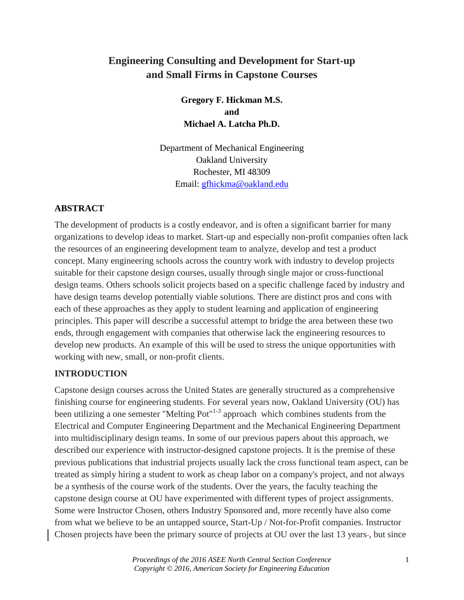# **Engineering Consulting and Development for Start-up and Small Firms in Capstone Courses**

**Gregory F. Hickman M.S. and Michael A. Latcha Ph.D.**

Department of Mechanical Engineering Oakland University Rochester, MI 48309 Email: [gfhickma@oakland.edu](mailto:gfhickma@oakland.edu)

#### **ABSTRACT**

The development of products is a costly endeavor, and is often a significant barrier for many organizations to develop ideas to market. Start-up and especially non-profit companies often lack the resources of an engineering development team to analyze, develop and test a product concept. Many engineering schools across the country work with industry to develop projects suitable for their capstone design courses, usually through single major or cross-functional design teams. Others schools solicit projects based on a specific challenge faced by industry and have design teams develop potentially viable solutions. There are distinct pros and cons with each of these approaches as they apply to student learning and application of engineering principles. This paper will describe a successful attempt to bridge the area between these two ends, through engagement with companies that otherwise lack the engineering resources to develop new products. An example of this will be used to stress the unique opportunities with working with new, small, or non-profit clients.

#### **INTRODUCTION**

Capstone design courses across the United States are generally structured as a comprehensive finishing course for engineering students. For several years now, Oakland University (OU) has been utilizing a one semester "Melting Pot" $1-3$  approach which combines students from the Electrical and Computer Engineering Department and the Mechanical Engineering Department into multidisciplinary design teams. In some of our previous papers about this approach, we described our experience with instructor-designed capstone projects. It is the premise of these previous publications that industrial projects usually lack the cross functional team aspect, can be treated as simply hiring a student to work as cheap labor on a company's project, and not always be a synthesis of the course work of the students. Over the years, the faculty teaching the capstone design course at OU have experimented with different types of project assignments. Some were Instructor Chosen, others Industry Sponsored and, more recently have also come from what we believe to be an untapped source, Start-Up / Not-for-Profit companies. Instructor Chosen projects have been the primary source of projects at OU over the last 13 years-, but since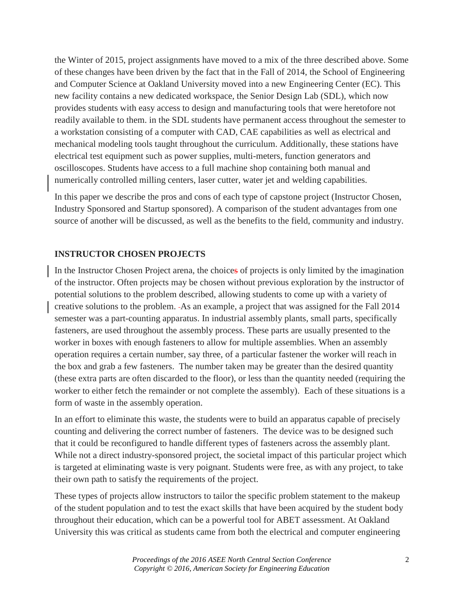the Winter of 2015, project assignments have moved to a mix of the three described above. Some of these changes have been driven by the fact that in the Fall of 2014, the School of Engineering and Computer Science at Oakland University moved into a new Engineering Center (EC). This new facility contains a new dedicated workspace, the Senior Design Lab (SDL), which now provides students with easy access to design and manufacturing tools that were heretofore not readily available to them. in the SDL students have permanent access throughout the semester to a workstation consisting of a computer with CAD, CAE capabilities as well as electrical and mechanical modeling tools taught throughout the curriculum. Additionally, these stations have electrical test equipment such as power supplies, multi-meters, function generators and oscilloscopes. Students have access to a full machine shop containing both manual and numerically controlled milling centers, laser cutter, water jet and welding capabilities.

In this paper we describe the pros and cons of each type of capstone project (Instructor Chosen, Industry Sponsored and Startup sponsored). A comparison of the student advantages from one source of another will be discussed, as well as the benefits to the field, community and industry.

## **INSTRUCTOR CHOSEN PROJECTS**

In the Instructor Chosen Project arena, the choices of projects is only limited by the imagination of the instructor. Often projects may be chosen without previous exploration by the instructor of potential solutions to the problem described, allowing students to come up with a variety of creative solutions to the problem. As an example, a project that was assigned for the Fall 2014 semester was a part-counting apparatus. In industrial assembly plants, small parts, specifically fasteners, are used throughout the assembly process. These parts are usually presented to the worker in boxes with enough fasteners to allow for multiple assemblies. When an assembly operation requires a certain number, say three, of a particular fastener the worker will reach in the box and grab a few fasteners. The number taken may be greater than the desired quantity (these extra parts are often discarded to the floor), or less than the quantity needed (requiring the worker to either fetch the remainder or not complete the assembly). Each of these situations is a form of waste in the assembly operation.

In an effort to eliminate this waste, the students were to build an apparatus capable of precisely counting and delivering the correct number of fasteners. The device was to be designed such that it could be reconfigured to handle different types of fasteners across the assembly plant. While not a direct industry-sponsored project, the societal impact of this particular project which is targeted at eliminating waste is very poignant. Students were free, as with any project, to take their own path to satisfy the requirements of the project.

These types of projects allow instructors to tailor the specific problem statement to the makeup of the student population and to test the exact skills that have been acquired by the student body throughout their education, which can be a powerful tool for ABET assessment. At Oakland University this was critical as students came from both the electrical and computer engineering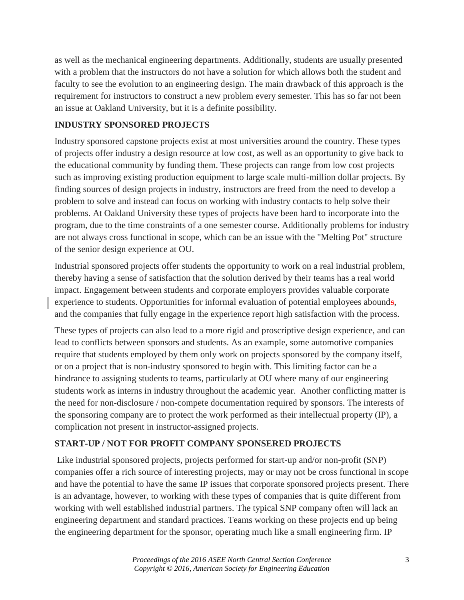as well as the mechanical engineering departments. Additionally, students are usually presented with a problem that the instructors do not have a solution for which allows both the student and faculty to see the evolution to an engineering design. The main drawback of this approach is the requirement for instructors to construct a new problem every semester. This has so far not been an issue at Oakland University, but it is a definite possibility.

# **INDUSTRY SPONSORED PROJECTS**

Industry sponsored capstone projects exist at most universities around the country. These types of projects offer industry a design resource at low cost, as well as an opportunity to give back to the educational community by funding them. These projects can range from low cost projects such as improving existing production equipment to large scale multi-million dollar projects. By finding sources of design projects in industry, instructors are freed from the need to develop a problem to solve and instead can focus on working with industry contacts to help solve their problems. At Oakland University these types of projects have been hard to incorporate into the program, due to the time constraints of a one semester course. Additionally problems for industry are not always cross functional in scope, which can be an issue with the "Melting Pot" structure of the senior design experience at OU.

Industrial sponsored projects offer students the opportunity to work on a real industrial problem, thereby having a sense of satisfaction that the solution derived by their teams has a real world impact. Engagement between students and corporate employers provides valuable corporate experience to students. Opportunities for informal evaluation of potential employees abounds, and the companies that fully engage in the experience report high satisfaction with the process.

These types of projects can also lead to a more rigid and proscriptive design experience, and can lead to conflicts between sponsors and students. As an example, some automotive companies require that students employed by them only work on projects sponsored by the company itself, or on a project that is non-industry sponsored to begin with. This limiting factor can be a hindrance to assigning students to teams, particularly at OU where many of our engineering students work as interns in industry throughout the academic year. Another conflicting matter is the need for non-disclosure / non-compete documentation required by sponsors. The interests of the sponsoring company are to protect the work performed as their intellectual property (IP), a complication not present in instructor-assigned projects.

# **START-UP / NOT FOR PROFIT COMPANY SPONSERED PROJECTS**

Like industrial sponsored projects, projects performed for start-up and/or non-profit (SNP) companies offer a rich source of interesting projects, may or may not be cross functional in scope and have the potential to have the same IP issues that corporate sponsored projects present. There is an advantage, however, to working with these types of companies that is quite different from working with well established industrial partners. The typical SNP company often will lack an engineering department and standard practices. Teams working on these projects end up being the engineering department for the sponsor, operating much like a small engineering firm. IP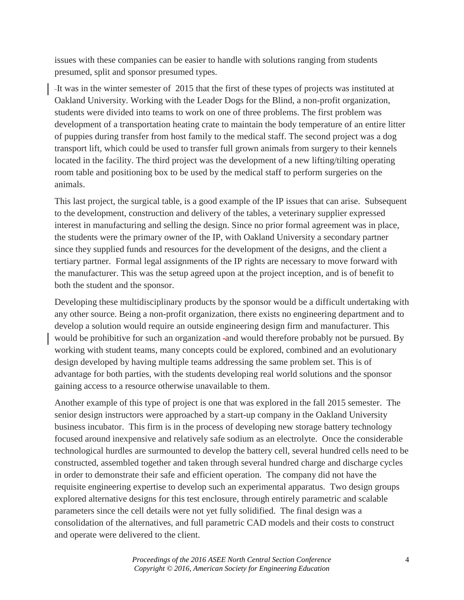issues with these companies can be easier to handle with solutions ranging from students presumed, split and sponsor presumed types.

It was in the winter semester of 2015 that the first of these types of projects was instituted at Oakland University. Working with the Leader Dogs for the Blind, a non-profit organization, students were divided into teams to work on one of three problems. The first problem was development of a transportation heating crate to maintain the body temperature of an entire litter of puppies during transfer from host family to the medical staff. The second project was a dog transport lift, which could be used to transfer full grown animals from surgery to their kennels located in the facility. The third project was the development of a new lifting/tilting operating room table and positioning box to be used by the medical staff to perform surgeries on the animals.

This last project, the surgical table, is a good example of the IP issues that can arise. Subsequent to the development, construction and delivery of the tables, a veterinary supplier expressed interest in manufacturing and selling the design. Since no prior formal agreement was in place, the students were the primary owner of the IP, with Oakland University a secondary partner since they supplied funds and resources for the development of the designs, and the client a tertiary partner. Formal legal assignments of the IP rights are necessary to move forward with the manufacturer. This was the setup agreed upon at the project inception, and is of benefit to both the student and the sponsor.

Developing these multidisciplinary products by the sponsor would be a difficult undertaking with any other source. Being a non-profit organization, there exists no engineering department and to develop a solution would require an outside engineering design firm and manufacturer. This would be prohibitive for such an organization -and would therefore probably not be pursued. By working with student teams, many concepts could be explored, combined and an evolutionary design developed by having multiple teams addressing the same problem set. This is of advantage for both parties, with the students developing real world solutions and the sponsor gaining access to a resource otherwise unavailable to them.

Another example of this type of project is one that was explored in the fall 2015 semester. The senior design instructors were approached by a start-up company in the Oakland University business incubator. This firm is in the process of developing new storage battery technology focused around inexpensive and relatively safe sodium as an electrolyte. Once the considerable technological hurdles are surmounted to develop the battery cell, several hundred cells need to be constructed, assembled together and taken through several hundred charge and discharge cycles in order to demonstrate their safe and efficient operation. The company did not have the requisite engineering expertise to develop such an experimental apparatus. Two design groups explored alternative designs for this test enclosure, through entirely parametric and scalable parameters since the cell details were not yet fully solidified. The final design was a consolidation of the alternatives, and full parametric CAD models and their costs to construct and operate were delivered to the client.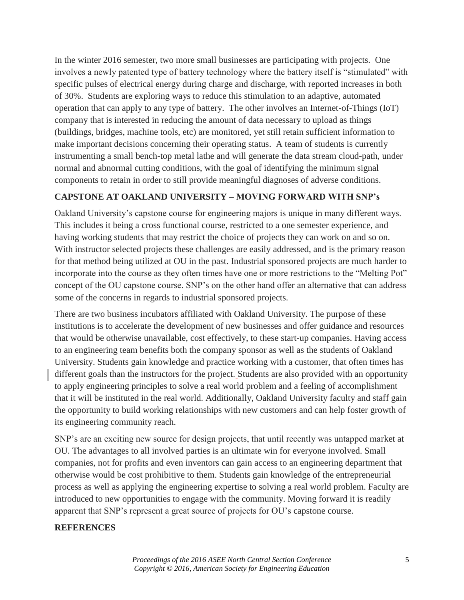In the winter 2016 semester, two more small businesses are participating with projects. One involves a newly patented type of battery technology where the battery itself is "stimulated" with specific pulses of electrical energy during charge and discharge, with reported increases in both of 30%. Students are exploring ways to reduce this stimulation to an adaptive, automated operation that can apply to any type of battery. The other involves an Internet-of-Things (IoT) company that is interested in reducing the amount of data necessary to upload as things (buildings, bridges, machine tools, etc) are monitored, yet still retain sufficient information to make important decisions concerning their operating status. A team of students is currently instrumenting a small bench-top metal lathe and will generate the data stream cloud-path, under normal and abnormal cutting conditions, with the goal of identifying the minimum signal components to retain in order to still provide meaningful diagnoses of adverse conditions.

### **CAPSTONE AT OAKLAND UNIVERSITY – MOVING FORWARD WITH SNP's**

Oakland University's capstone course for engineering majors is unique in many different ways. This includes it being a cross functional course, restricted to a one semester experience, and having working students that may restrict the choice of projects they can work on and so on. With instructor selected projects these challenges are easily addressed, and is the primary reason for that method being utilized at OU in the past. Industrial sponsored projects are much harder to incorporate into the course as they often times have one or more restrictions to the "Melting Pot" concept of the OU capstone course. SNP's on the other hand offer an alternative that can address some of the concerns in regards to industrial sponsored projects.

There are two business incubators affiliated with Oakland University. The purpose of these institutions is to accelerate the development of new businesses and offer guidance and resources that would be otherwise unavailable, cost effectively, to these start-up companies. Having access to an engineering team benefits both the company sponsor as well as the students of Oakland University. Students gain knowledge and practice working with a customer, that often times has different goals than the instructors for the project. Students are also provided with an opportunity to apply engineering principles to solve a real world problem and a feeling of accomplishment that it will be instituted in the real world. Additionally, Oakland University faculty and staff gain the opportunity to build working relationships with new customers and can help foster growth of its engineering community reach.

SNP's are an exciting new source for design projects, that until recently was untapped market at OU. The advantages to all involved parties is an ultimate win for everyone involved. Small companies, not for profits and even inventors can gain access to an engineering department that otherwise would be cost prohibitive to them. Students gain knowledge of the entrepreneurial process as well as applying the engineering expertise to solving a real world problem. Faculty are introduced to new opportunities to engage with the community. Moving forward it is readily apparent that SNP's represent a great source of projects for OU's capstone course.

#### **REFERENCES**